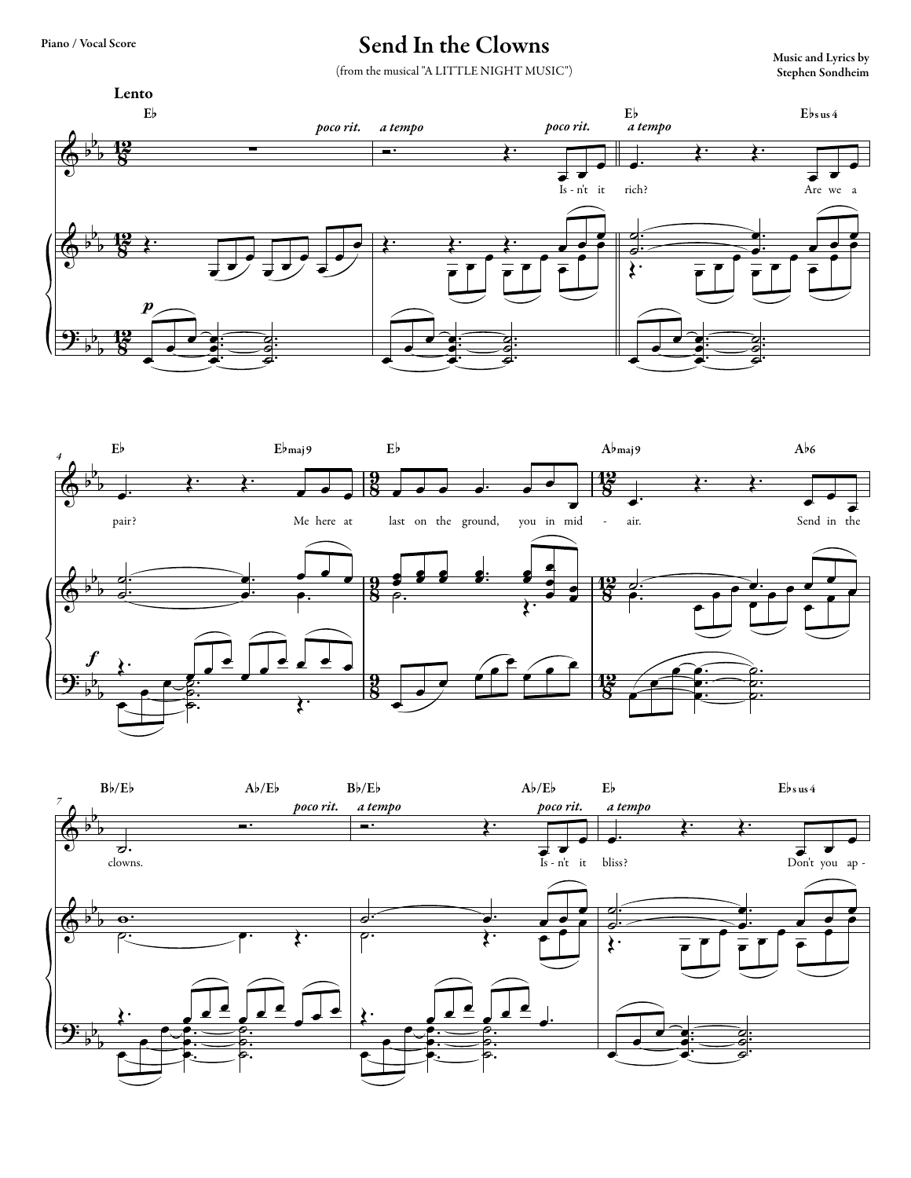## Send In the Clowns Music and Lyrics by

(from the musical "A LITTLE NIGHT MUSIC")

Stephen Sondheim